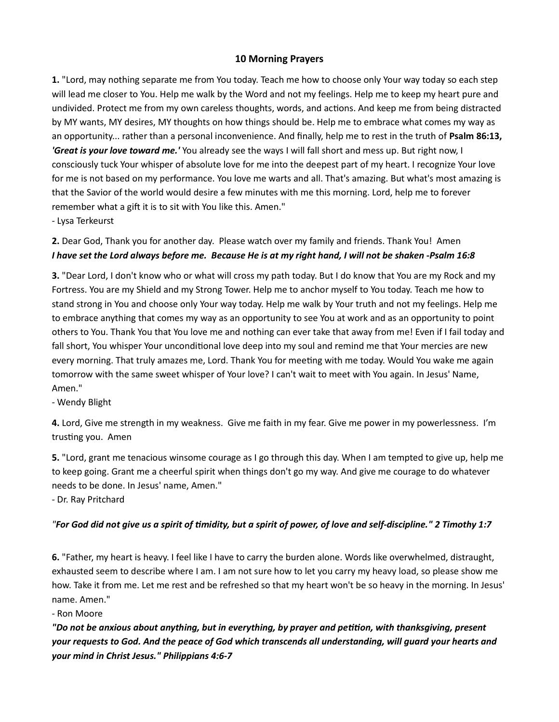## 10 Morning Prayers

1. "Lord, may nothing separate me from You today. Teach me how to choose only Your way today so each step will lead me closer to You. Help me walk by the Word and not my feelings. Help me to keep my heart pure and undivided. Protect me from my own careless thoughts, words, and actions. And keep me from being distracted by MY wants, MY desires, MY thoughts on how things should be. Help me to embrace what comes my way as an opportunity... rather than a personal inconvenience. And finally, help me to rest in the truth of Psalm 86:13, **'Great is your love toward me.'** You already see the ways I will fall short and mess up. But right now, I consciously tuck Your whisper of absolute love for me into the deepest part of my heart. I recognize Your love for me is not based on my performance. You love me warts and all. That's amazing. But what's most amazing is that the Savior of the world would desire a few minutes with me this morning. Lord, help me to forever remember what a gift it is to sit with You like this. Amen."

- Lysa Terkeurst

## 2. Dear God, Thank you for another day. Please watch over my family and friends. Thank You! Amen I have set the Lord always before me. Because He is at my right hand, I will not be shaken -Psalm 16:8

3. "Dear Lord, I don't know who or what will cross my path today. But I do know that You are my Rock and my Fortress. You are my Shield and my Strong Tower. Help me to anchor myself to You today. Teach me how to stand strong in You and choose only Your way today. Help me walk by Your truth and not my feelings. Help me to embrace anything that comes my way as an opportunity to see You at work and as an opportunity to point others to You. Thank You that You love me and nothing can ever take that away from me! Even if I fail today and fall short, You whisper Your unconditional love deep into my soul and remind me that Your mercies are new every morning. That truly amazes me, Lord. Thank You for meeting with me today. Would You wake me again tomorrow with the same sweet whisper of Your love? I can't wait to meet with You again. In Jesus' Name, Amen."

- Wendy Blight

4. Lord, Give me strength in my weakness. Give me faith in my fear. Give me power in my powerlessness. I'm trusting you. Amen

5. "Lord, grant me tenacious winsome courage as I go through this day. When I am tempted to give up, help me to keep going. Grant me a cheerful spirit when things don't go my way. And give me courage to do whatever needs to be done. In Jesus' name, Amen."

- Dr. Ray Pritchard

## "For God did not give us a spirit of timidity, but a spirit of power, of love and self-discipline." 2 Timothy 1:7

6. "Father, my heart is heavy. I feel like I have to carry the burden alone. Words like overwhelmed, distraught, exhausted seem to describe where I am. I am not sure how to let you carry my heavy load, so please show me how. Take it from me. Let me rest and be refreshed so that my heart won't be so heavy in the morning. In Jesus' name. Amen."

- Ron Moore

"Do not be anxious about anything, but in everything, by prayer and petition, with thanksgiving, present your requests to God. And the peace of God which transcends all understanding, will guard your hearts and your mind in Christ Jesus." Philippians 4:6-7